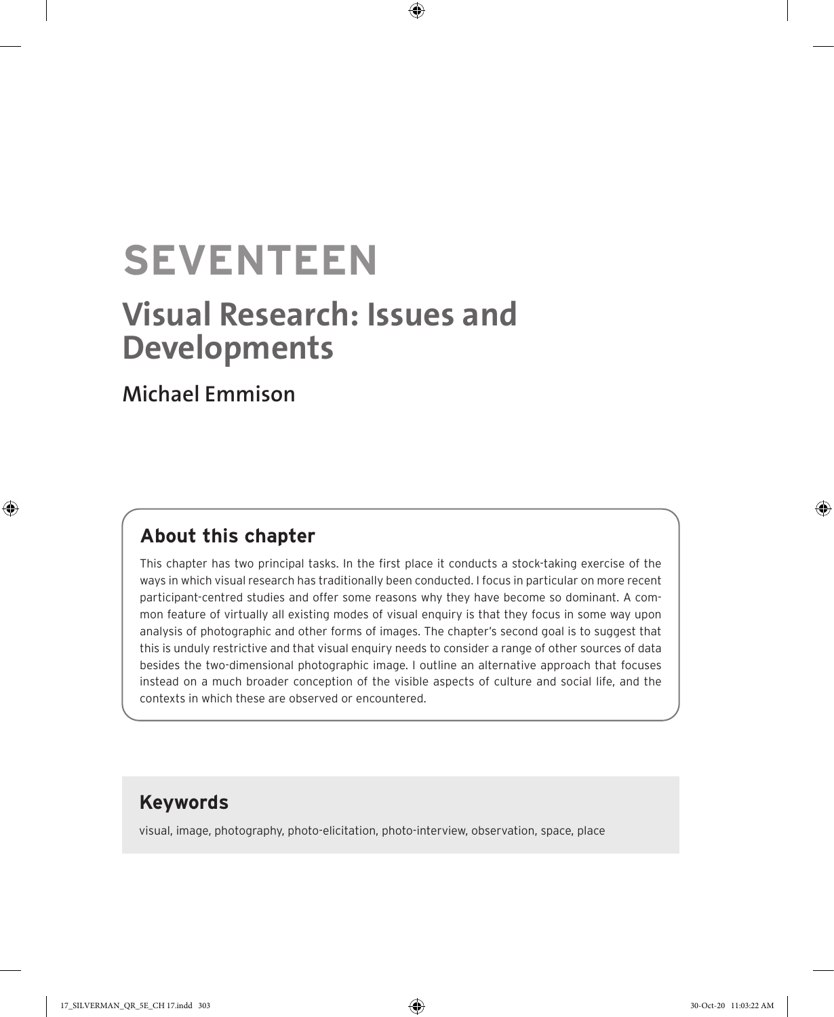# **SEVENTEEN**

## **Visual Research: Issues and Developments**

**Michael Emmison**

#### **About this chapter**

This chapter has two principal tasks. In the first place it conducts a stock-taking exercise of the ways in which visual research has traditionally been conducted. I focus in particular on more recent participant-centred studies and offer some reasons why they have become so dominant. A common feature of virtually all existing modes of visual enquiry is that they focus in some way upon analysis of photographic and other forms of images. The chapter's second goal is to suggest that this is unduly restrictive and that visual enquiry needs to consider a range of other sources of data besides the two-dimensional photographic image. I outline an alternative approach that focuses instead on a much broader conception of the visible aspects of culture and social life, and the contexts in which these are observed or encountered.

#### **Keywords**

visual, image, photography, photo-elicitation, photo-interview, observation, space, place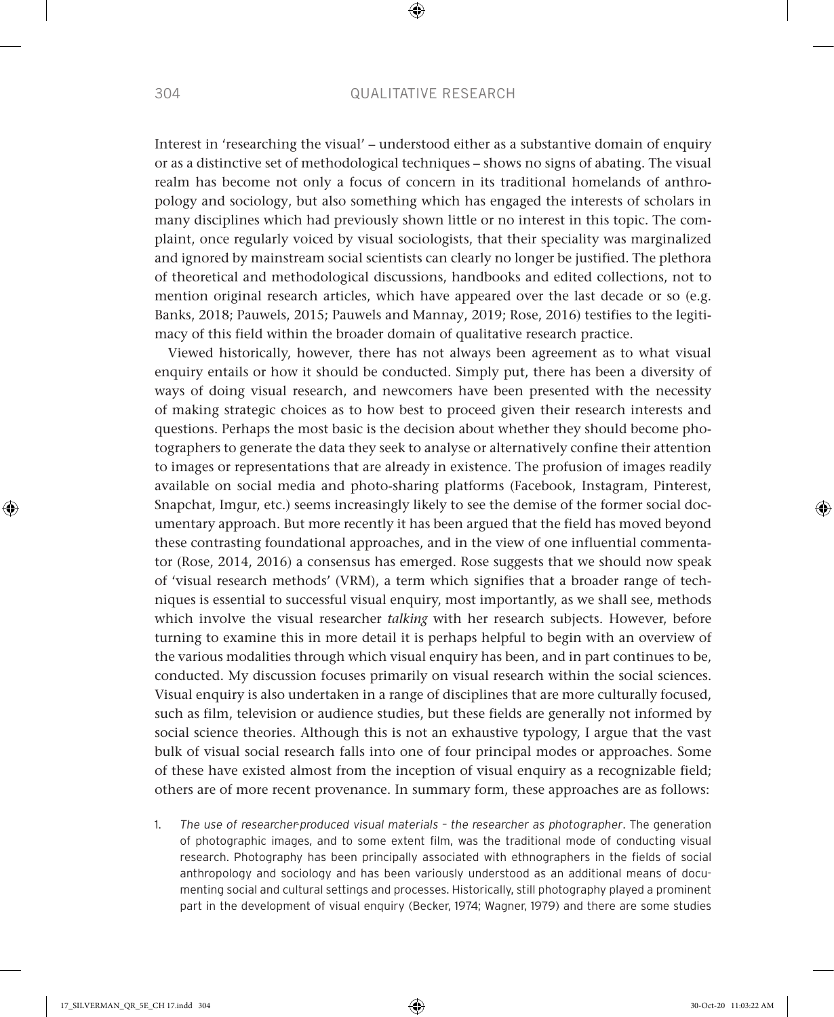Interest in 'researching the visual' – understood either as a substantive domain of enquiry or as a distinctive set of methodological techniques – shows no signs of abating. The visual realm has become not only a focus of concern in its traditional homelands of anthropology and sociology, but also something which has engaged the interests of scholars in many disciplines which had previously shown little or no interest in this topic. The complaint, once regularly voiced by visual sociologists, that their speciality was marginalized and ignored by mainstream social scientists can clearly no longer be justified. The plethora of theoretical and methodological discussions, handbooks and edited collections, not to mention original research articles, which have appeared over the last decade or so (e.g. Banks, 2018; Pauwels, 2015; Pauwels and Mannay, 2019; Rose, 2016) testifies to the legitimacy of this field within the broader domain of qualitative research practice.

Viewed historically, however, there has not always been agreement as to what visual enquiry entails or how it should be conducted. Simply put, there has been a diversity of ways of doing visual research, and newcomers have been presented with the necessity of making strategic choices as to how best to proceed given their research interests and questions. Perhaps the most basic is the decision about whether they should become photographers to generate the data they seek to analyse or alternatively confine their attention to images or representations that are already in existence. The profusion of images readily available on social media and photo-sharing platforms (Facebook, Instagram, Pinterest, Snapchat, Imgur, etc.) seems increasingly likely to see the demise of the former social documentary approach. But more recently it has been argued that the field has moved beyond these contrasting foundational approaches, and in the view of one influential commentator (Rose, 2014, 2016) a consensus has emerged. Rose suggests that we should now speak of 'visual research methods' (VRM), a term which signifies that a broader range of techniques is essential to successful visual enquiry, most importantly, as we shall see, methods which involve the visual researcher *talking* with her research subjects. However, before turning to examine this in more detail it is perhaps helpful to begin with an overview of the various modalities through which visual enquiry has been, and in part continues to be, conducted. My discussion focuses primarily on visual research within the social sciences. Visual enquiry is also undertaken in a range of disciplines that are more culturally focused, such as film, television or audience studies, but these fields are generally not informed by social science theories. Although this is not an exhaustive typology, I argue that the vast bulk of visual social research falls into one of four principal modes or approaches. Some of these have existed almost from the inception of visual enquiry as a recognizable field; others are of more recent provenance. In summary form, these approaches are as follows:

1. *The use of researcher-produced visual materials – the researcher as photographer*. The generation of photographic images, and to some extent film, was the traditional mode of conducting visual research. Photography has been principally associated with ethnographers in the fields of social anthropology and sociology and has been variously understood as an additional means of documenting social and cultural settings and processes. Historically, still photography played a prominent part in the development of visual enquiry (Becker, 1974; Wagner, 1979) and there are some studies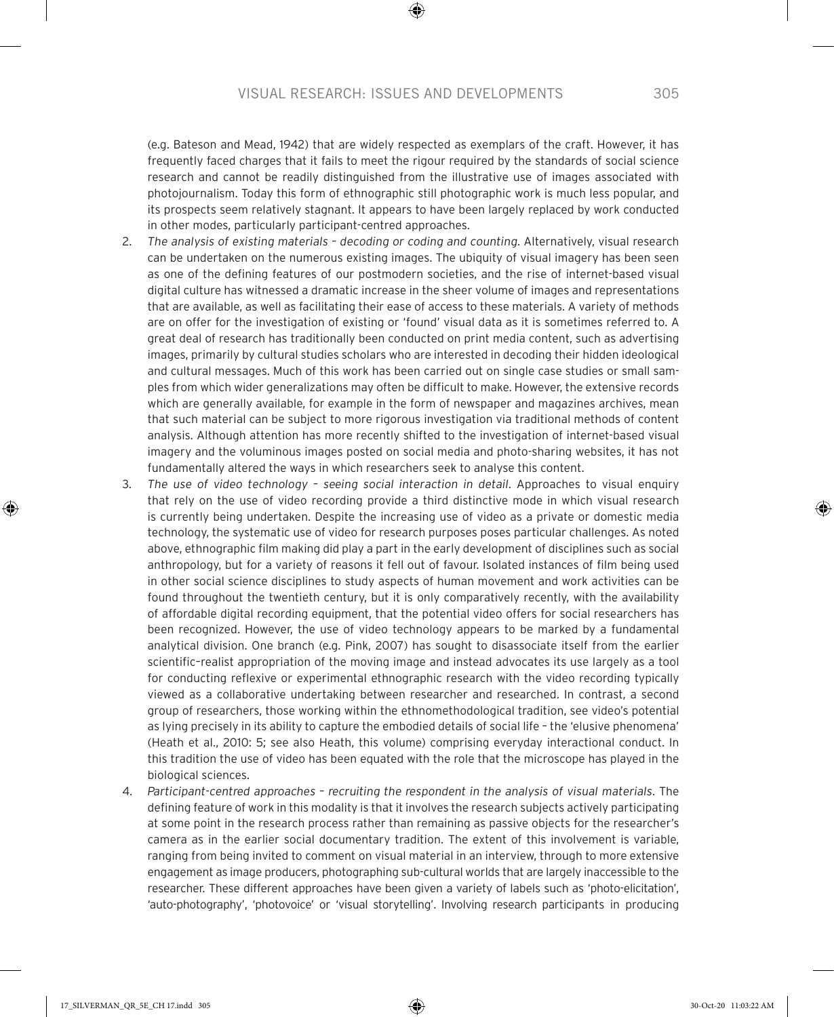(e.g. Bateson and Mead, 1942) that are widely respected as exemplars of the craft. However, it has frequently faced charges that it fails to meet the rigour required by the standards of social science research and cannot be readily distinguished from the illustrative use of images associated with photojournalism. Today this form of ethnographic still photographic work is much less popular, and its prospects seem relatively stagnant. It appears to have been largely replaced by work conducted in other modes, particularly participant-centred approaches.

- 2. *The analysis of existing materials decoding or coding and counting*. Alternatively, visual research can be undertaken on the numerous existing images. The ubiquity of visual imagery has been seen as one of the defining features of our postmodern societies, and the rise of internet-based visual digital culture has witnessed a dramatic increase in the sheer volume of images and representations that are available, as well as facilitating their ease of access to these materials. A variety of methods are on offer for the investigation of existing or 'found' visual data as it is sometimes referred to. A great deal of research has traditionally been conducted on print media content, such as advertising images, primarily by cultural studies scholars who are interested in decoding their hidden ideological and cultural messages. Much of this work has been carried out on single case studies or small samples from which wider generalizations may often be difficult to make. However, the extensive records which are generally available, for example in the form of newspaper and magazines archives, mean that such material can be subject to more rigorous investigation via traditional methods of content analysis. Although attention has more recently shifted to the investigation of internet-based visual imagery and the voluminous images posted on social media and photo-sharing websites, it has not fundamentally altered the ways in which researchers seek to analyse this content.
- 3. *The use of video technology seeing social interaction in detail*. Approaches to visual enquiry that rely on the use of video recording provide a third distinctive mode in which visual research is currently being undertaken. Despite the increasing use of video as a private or domestic media technology, the systematic use of video for research purposes poses particular challenges. As noted above, ethnographic film making did play a part in the early development of disciplines such as social anthropology, but for a variety of reasons it fell out of favour. Isolated instances of film being used in other social science disciplines to study aspects of human movement and work activities can be found throughout the twentieth century, but it is only comparatively recently, with the availability of affordable digital recording equipment, that the potential video offers for social researchers has been recognized. However, the use of video technology appears to be marked by a fundamental analytical division. One branch (e.g. Pink, 2007) has sought to disassociate itself from the earlier scientific–realist appropriation of the moving image and instead advocates its use largely as a tool for conducting reflexive or experimental ethnographic research with the video recording typically viewed as a collaborative undertaking between researcher and researched. In contrast, a second group of researchers, those working within the ethnomethodological tradition, see video's potential as lying precisely in its ability to capture the embodied details of social life – the 'elusive phenomena' (Heath et al., 2010: 5; see also Heath, this volume) comprising everyday interactional conduct. In this tradition the use of video has been equated with the role that the microscope has played in the biological sciences.
- 4. *Participant-centred approaches recruiting the respondent in the analysis of visual materials*. The defining feature of work in this modality is that it involves the research subjects actively participating at some point in the research process rather than remaining as passive objects for the researcher's camera as in the earlier social documentary tradition. The extent of this involvement is variable, ranging from being invited to comment on visual material in an interview, through to more extensive engagement as image producers, photographing sub-cultural worlds that are largely inaccessible to the researcher. These different approaches have been given a variety of labels such as 'photo-elicitation', 'auto-photography', 'photovoice' or 'visual storytelling'. Involving research participants in producing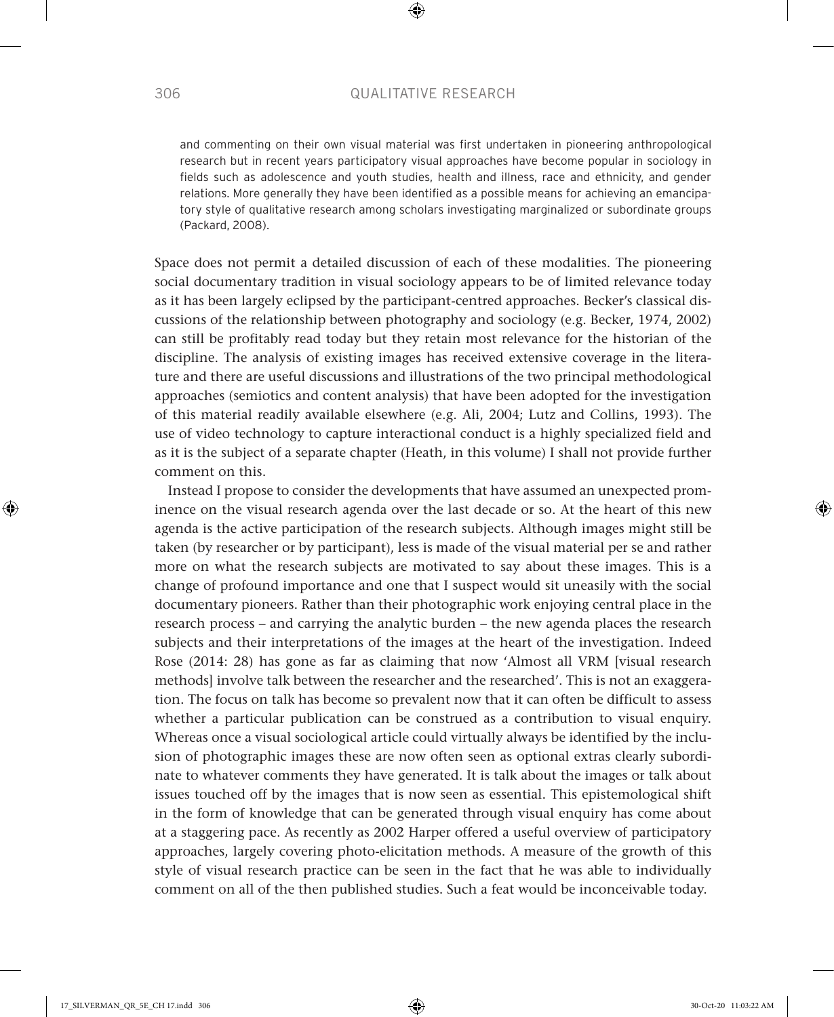and commenting on their own visual material was first undertaken in pioneering anthropological research but in recent years participatory visual approaches have become popular in sociology in fields such as adolescence and youth studies, health and illness, race and ethnicity, and gender relations. More generally they have been identified as a possible means for achieving an emancipatory style of qualitative research among scholars investigating marginalized or subordinate groups (Packard, 2008).

Space does not permit a detailed discussion of each of these modalities. The pioneering social documentary tradition in visual sociology appears to be of limited relevance today as it has been largely eclipsed by the participant-centred approaches. Becker's classical discussions of the relationship between photography and sociology (e.g. Becker, 1974, 2002) can still be profitably read today but they retain most relevance for the historian of the discipline. The analysis of existing images has received extensive coverage in the literature and there are useful discussions and illustrations of the two principal methodological approaches (semiotics and content analysis) that have been adopted for the investigation of this material readily available elsewhere (e.g. Ali, 2004; Lutz and Collins, 1993). The use of video technology to capture interactional conduct is a highly specialized field and as it is the subject of a separate chapter (Heath, in this volume) I shall not provide further comment on this.

Instead I propose to consider the developments that have assumed an unexpected prominence on the visual research agenda over the last decade or so. At the heart of this new agenda is the active participation of the research subjects. Although images might still be taken (by researcher or by participant), less is made of the visual material per se and rather more on what the research subjects are motivated to say about these images. This is a change of profound importance and one that I suspect would sit uneasily with the social documentary pioneers. Rather than their photographic work enjoying central place in the research process – and carrying the analytic burden – the new agenda places the research subjects and their interpretations of the images at the heart of the investigation. Indeed Rose (2014: 28) has gone as far as claiming that now 'Almost all VRM [visual research methods] involve talk between the researcher and the researched'. This is not an exaggeration. The focus on talk has become so prevalent now that it can often be difficult to assess whether a particular publication can be construed as a contribution to visual enquiry. Whereas once a visual sociological article could virtually always be identified by the inclusion of photographic images these are now often seen as optional extras clearly subordinate to whatever comments they have generated. It is talk about the images or talk about issues touched off by the images that is now seen as essential. This epistemological shift in the form of knowledge that can be generated through visual enquiry has come about at a staggering pace. As recently as 2002 Harper offered a useful overview of participatory approaches, largely covering photo-elicitation methods. A measure of the growth of this style of visual research practice can be seen in the fact that he was able to individually comment on all of the then published studies. Such a feat would be inconceivable today.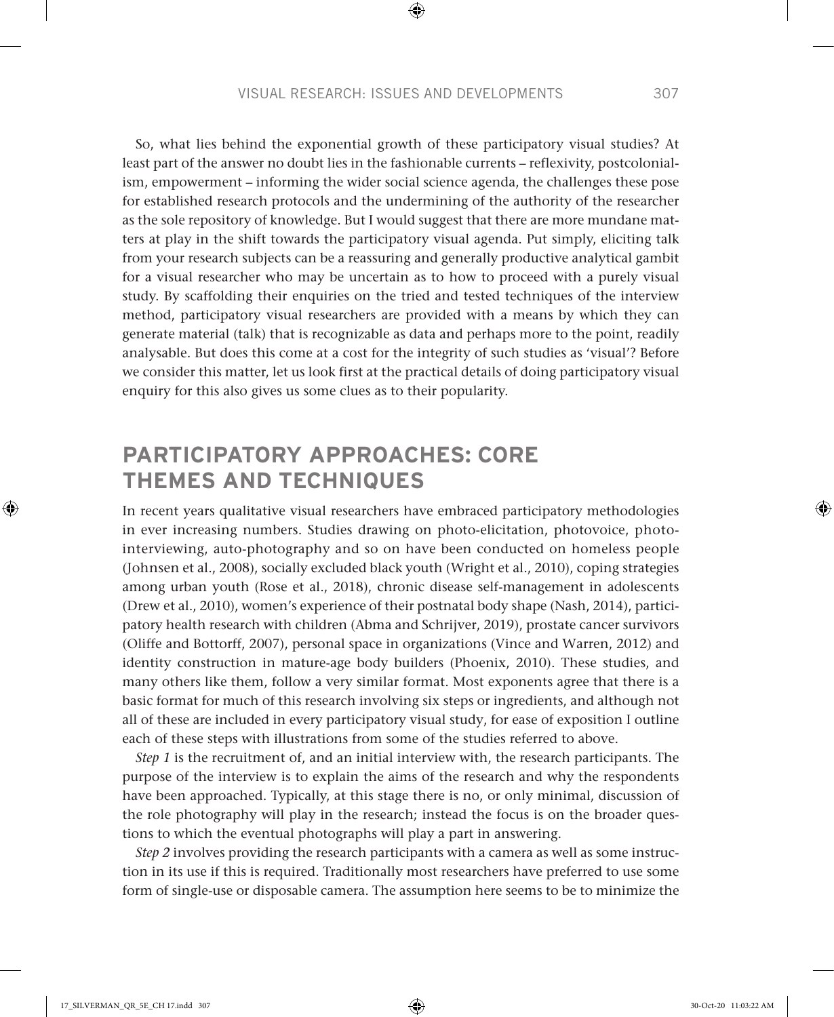So, what lies behind the exponential growth of these participatory visual studies? At least part of the answer no doubt lies in the fashionable currents – reflexivity, postcolonialism, empowerment – informing the wider social science agenda, the challenges these pose for established research protocols and the undermining of the authority of the researcher as the sole repository of knowledge. But I would suggest that there are more mundane matters at play in the shift towards the participatory visual agenda. Put simply, eliciting talk from your research subjects can be a reassuring and generally productive analytical gambit for a visual researcher who may be uncertain as to how to proceed with a purely visual study. By scaffolding their enquiries on the tried and tested techniques of the interview method, participatory visual researchers are provided with a means by which they can generate material (talk) that is recognizable as data and perhaps more to the point, readily analysable. But does this come at a cost for the integrity of such studies as 'visual'? Before we consider this matter, let us look first at the practical details of doing participatory visual enquiry for this also gives us some clues as to their popularity.

## **PARTICIPATORY APPROACHES: CORE THEMES AND TECHNIQUES**

In recent years qualitative visual researchers have embraced participatory methodologies in ever increasing numbers. Studies drawing on photo-elicitation, photovoice, photointerviewing, auto-photography and so on have been conducted on homeless people (Johnsen et al., 2008), socially excluded black youth (Wright et al., 2010), coping strategies among urban youth (Rose et al., 2018), chronic disease self-management in adolescents (Drew et al., 2010), women's experience of their postnatal body shape (Nash, 2014), participatory health research with children (Abma and Schrijver, 2019), prostate cancer survivors (Oliffe and Bottorff, 2007), personal space in organizations (Vince and Warren, 2012) and identity construction in mature-age body builders (Phoenix, 2010). These studies, and many others like them, follow a very similar format. Most exponents agree that there is a basic format for much of this research involving six steps or ingredients, and although not all of these are included in every participatory visual study, for ease of exposition I outline each of these steps with illustrations from some of the studies referred to above.

*Step 1* is the recruitment of, and an initial interview with, the research participants. The purpose of the interview is to explain the aims of the research and why the respondents have been approached. Typically, at this stage there is no, or only minimal, discussion of the role photography will play in the research; instead the focus is on the broader questions to which the eventual photographs will play a part in answering.

*Step 2* involves providing the research participants with a camera as well as some instruction in its use if this is required. Traditionally most researchers have preferred to use some form of single-use or disposable camera. The assumption here seems to be to minimize the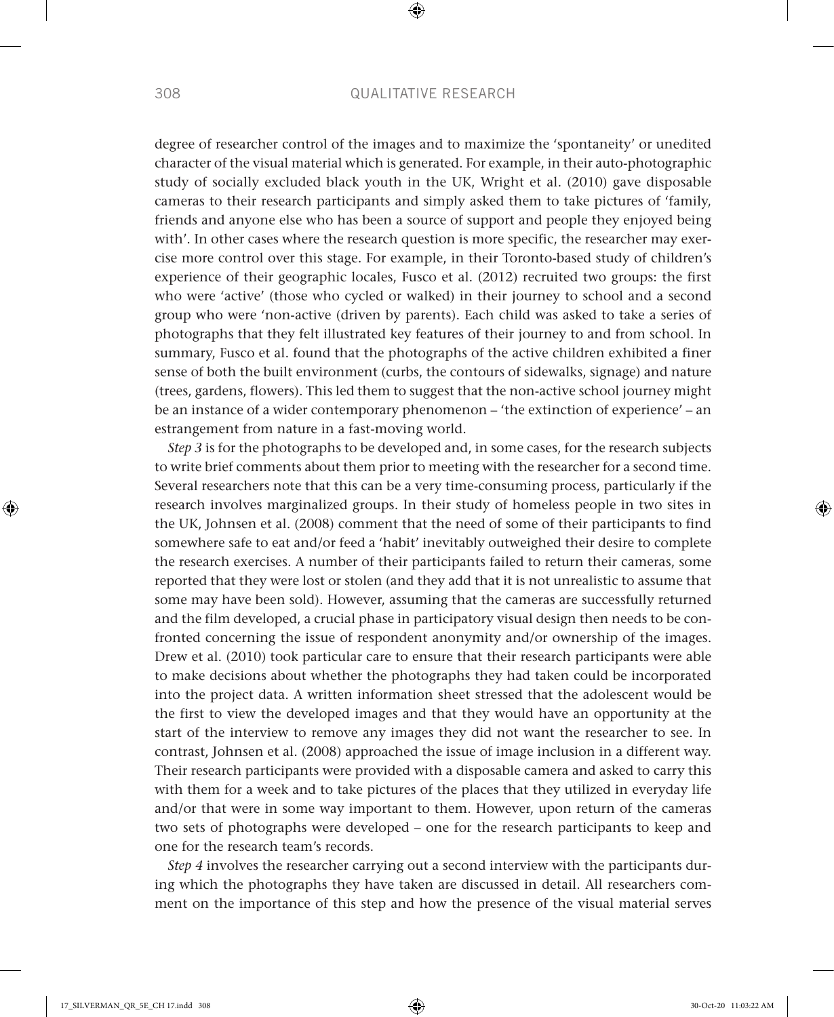degree of researcher control of the images and to maximize the 'spontaneity' or unedited character of the visual material which is generated. For example, in their auto-photographic study of socially excluded black youth in the UK, Wright et al. (2010) gave disposable cameras to their research participants and simply asked them to take pictures of 'family, friends and anyone else who has been a source of support and people they enjoyed being with'. In other cases where the research question is more specific, the researcher may exercise more control over this stage. For example, in their Toronto-based study of children's experience of their geographic locales, Fusco et al. (2012) recruited two groups: the first who were 'active' (those who cycled or walked) in their journey to school and a second group who were 'non-active (driven by parents). Each child was asked to take a series of photographs that they felt illustrated key features of their journey to and from school. In summary, Fusco et al. found that the photographs of the active children exhibited a finer sense of both the built environment (curbs, the contours of sidewalks, signage) and nature (trees, gardens, flowers). This led them to suggest that the non-active school journey might be an instance of a wider contemporary phenomenon – 'the extinction of experience' – an estrangement from nature in a fast-moving world.

*Step 3* is for the photographs to be developed and, in some cases, for the research subjects to write brief comments about them prior to meeting with the researcher for a second time. Several researchers note that this can be a very time-consuming process, particularly if the research involves marginalized groups. In their study of homeless people in two sites in the UK, Johnsen et al. (2008) comment that the need of some of their participants to find somewhere safe to eat and/or feed a 'habit' inevitably outweighed their desire to complete the research exercises. A number of their participants failed to return their cameras, some reported that they were lost or stolen (and they add that it is not unrealistic to assume that some may have been sold). However, assuming that the cameras are successfully returned and the film developed, a crucial phase in participatory visual design then needs to be confronted concerning the issue of respondent anonymity and/or ownership of the images. Drew et al. (2010) took particular care to ensure that their research participants were able to make decisions about whether the photographs they had taken could be incorporated into the project data. A written information sheet stressed that the adolescent would be the first to view the developed images and that they would have an opportunity at the start of the interview to remove any images they did not want the researcher to see. In contrast, Johnsen et al. (2008) approached the issue of image inclusion in a different way. Their research participants were provided with a disposable camera and asked to carry this with them for a week and to take pictures of the places that they utilized in everyday life and/or that were in some way important to them. However, upon return of the cameras two sets of photographs were developed – one for the research participants to keep and one for the research team's records.

*Step 4* involves the researcher carrying out a second interview with the participants during which the photographs they have taken are discussed in detail. All researchers comment on the importance of this step and how the presence of the visual material serves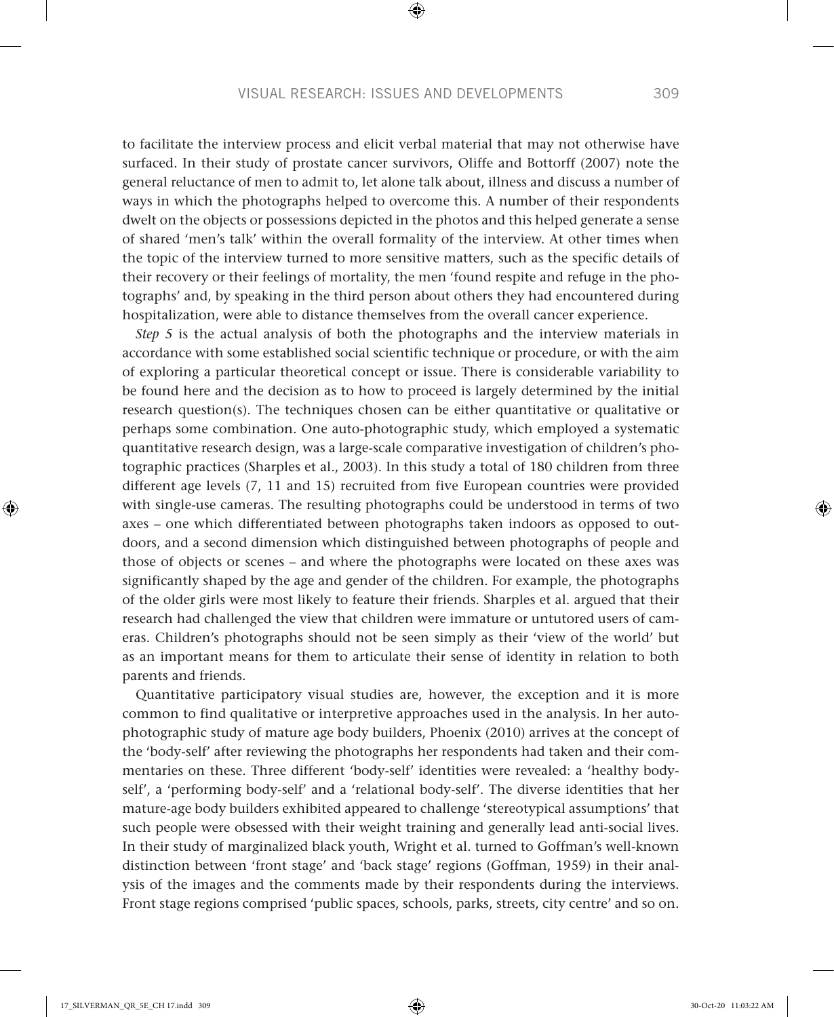to facilitate the interview process and elicit verbal material that may not otherwise have surfaced. In their study of prostate cancer survivors, Oliffe and Bottorff (2007) note the general reluctance of men to admit to, let alone talk about, illness and discuss a number of ways in which the photographs helped to overcome this. A number of their respondents dwelt on the objects or possessions depicted in the photos and this helped generate a sense of shared 'men's talk' within the overall formality of the interview. At other times when the topic of the interview turned to more sensitive matters, such as the specific details of their recovery or their feelings of mortality, the men 'found respite and refuge in the photographs' and, by speaking in the third person about others they had encountered during hospitalization, were able to distance themselves from the overall cancer experience.

*Step 5* is the actual analysis of both the photographs and the interview materials in accordance with some established social scientific technique or procedure, or with the aim of exploring a particular theoretical concept or issue. There is considerable variability to be found here and the decision as to how to proceed is largely determined by the initial research question(s). The techniques chosen can be either quantitative or qualitative or perhaps some combination. One auto-photographic study, which employed a systematic quantitative research design, was a large-scale comparative investigation of children's photographic practices (Sharples et al., 2003). In this study a total of 180 children from three different age levels (7, 11 and 15) recruited from five European countries were provided with single-use cameras. The resulting photographs could be understood in terms of two axes – one which differentiated between photographs taken indoors as opposed to outdoors, and a second dimension which distinguished between photographs of people and those of objects or scenes – and where the photographs were located on these axes was significantly shaped by the age and gender of the children. For example, the photographs of the older girls were most likely to feature their friends. Sharples et al. argued that their research had challenged the view that children were immature or untutored users of cameras. Children's photographs should not be seen simply as their 'view of the world' but as an important means for them to articulate their sense of identity in relation to both parents and friends.

Quantitative participatory visual studies are, however, the exception and it is more common to find qualitative or interpretive approaches used in the analysis. In her autophotographic study of mature age body builders, Phoenix (2010) arrives at the concept of the 'body-self' after reviewing the photographs her respondents had taken and their commentaries on these. Three different 'body-self' identities were revealed: a 'healthy bodyself', a 'performing body-self' and a 'relational body-self'. The diverse identities that her mature-age body builders exhibited appeared to challenge 'stereotypical assumptions' that such people were obsessed with their weight training and generally lead anti-social lives. In their study of marginalized black youth, Wright et al. turned to Goffman's well-known distinction between 'front stage' and 'back stage' regions (Goffman, 1959) in their analysis of the images and the comments made by their respondents during the interviews. Front stage regions comprised 'public spaces, schools, parks, streets, city centre' and so on.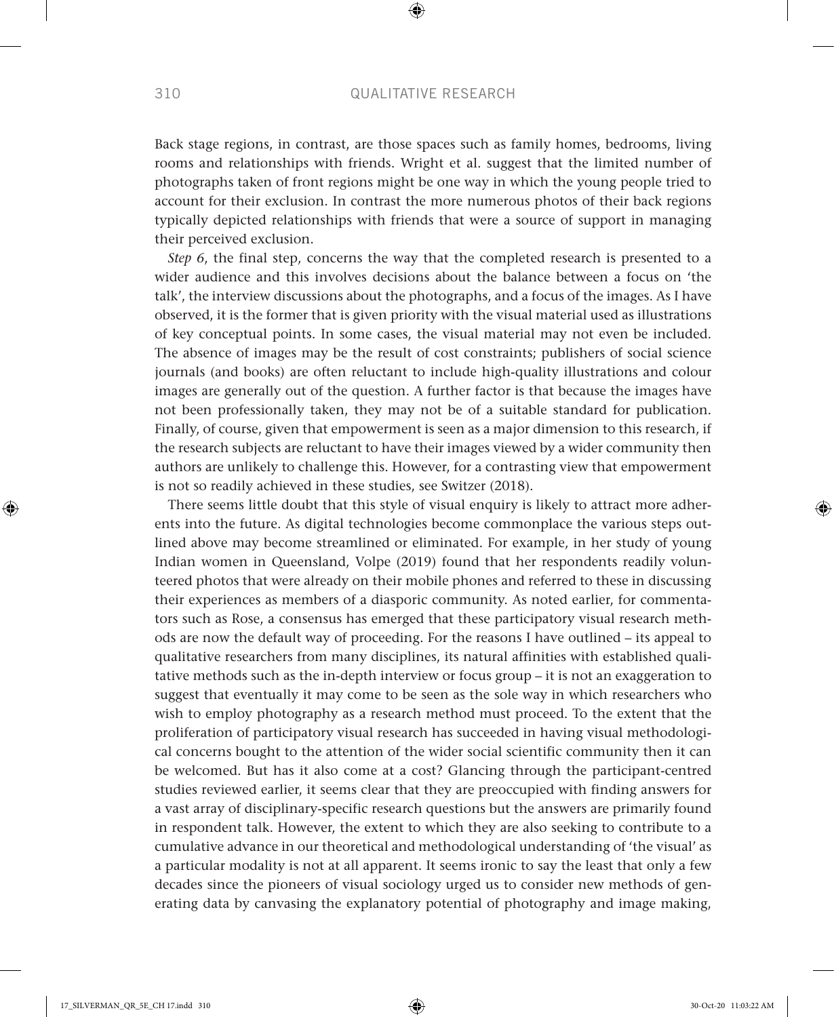Back stage regions, in contrast, are those spaces such as family homes, bedrooms, living rooms and relationships with friends. Wright et al. suggest that the limited number of photographs taken of front regions might be one way in which the young people tried to account for their exclusion. In contrast the more numerous photos of their back regions typically depicted relationships with friends that were a source of support in managing their perceived exclusion.

*Step 6*, the final step, concerns the way that the completed research is presented to a wider audience and this involves decisions about the balance between a focus on 'the talk', the interview discussions about the photographs, and a focus of the images. As I have observed, it is the former that is given priority with the visual material used as illustrations of key conceptual points. In some cases, the visual material may not even be included. The absence of images may be the result of cost constraints; publishers of social science journals (and books) are often reluctant to include high-quality illustrations and colour images are generally out of the question. A further factor is that because the images have not been professionally taken, they may not be of a suitable standard for publication. Finally, of course, given that empowerment is seen as a major dimension to this research, if the research subjects are reluctant to have their images viewed by a wider community then authors are unlikely to challenge this. However, for a contrasting view that empowerment is not so readily achieved in these studies, see Switzer (2018).

There seems little doubt that this style of visual enquiry is likely to attract more adherents into the future. As digital technologies become commonplace the various steps outlined above may become streamlined or eliminated. For example, in her study of young Indian women in Queensland, Volpe (2019) found that her respondents readily volunteered photos that were already on their mobile phones and referred to these in discussing their experiences as members of a diasporic community. As noted earlier, for commentators such as Rose, a consensus has emerged that these participatory visual research methods are now the default way of proceeding. For the reasons I have outlined – its appeal to qualitative researchers from many disciplines, its natural affinities with established qualitative methods such as the in-depth interview or focus group – it is not an exaggeration to suggest that eventually it may come to be seen as the sole way in which researchers who wish to employ photography as a research method must proceed. To the extent that the proliferation of participatory visual research has succeeded in having visual methodological concerns bought to the attention of the wider social scientific community then it can be welcomed. But has it also come at a cost? Glancing through the participant-centred studies reviewed earlier, it seems clear that they are preoccupied with finding answers for a vast array of disciplinary-specific research questions but the answers are primarily found in respondent talk. However, the extent to which they are also seeking to contribute to a cumulative advance in our theoretical and methodological understanding of 'the visual' as a particular modality is not at all apparent. It seems ironic to say the least that only a few decades since the pioneers of visual sociology urged us to consider new methods of generating data by canvasing the explanatory potential of photography and image making,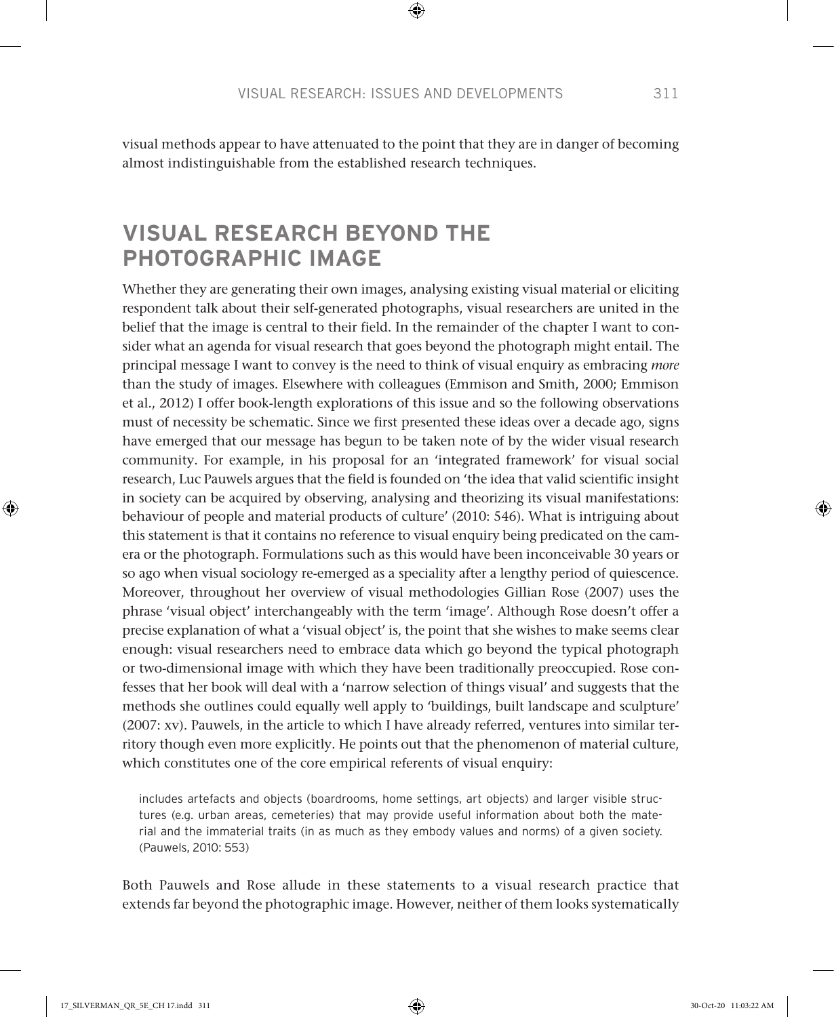visual methods appear to have attenuated to the point that they are in danger of becoming almost indistinguishable from the established research techniques.

## **VISUAL RESEARCH BEYOND THE PHOTOGRAPHIC IMAGE**

Whether they are generating their own images, analysing existing visual material or eliciting respondent talk about their self-generated photographs, visual researchers are united in the belief that the image is central to their field. In the remainder of the chapter I want to consider what an agenda for visual research that goes beyond the photograph might entail. The principal message I want to convey is the need to think of visual enquiry as embracing *more* than the study of images. Elsewhere with colleagues (Emmison and Smith, 2000; Emmison et al., 2012) I offer book-length explorations of this issue and so the following observations must of necessity be schematic. Since we first presented these ideas over a decade ago, signs have emerged that our message has begun to be taken note of by the wider visual research community. For example, in his proposal for an 'integrated framework' for visual social research, Luc Pauwels argues that the field is founded on 'the idea that valid scientific insight in society can be acquired by observing, analysing and theorizing its visual manifestations: behaviour of people and material products of culture' (2010: 546). What is intriguing about this statement is that it contains no reference to visual enquiry being predicated on the camera or the photograph. Formulations such as this would have been inconceivable 30 years or so ago when visual sociology re-emerged as a speciality after a lengthy period of quiescence. Moreover, throughout her overview of visual methodologies Gillian Rose (2007) uses the phrase 'visual object' interchangeably with the term 'image'. Although Rose doesn't offer a precise explanation of what a 'visual object' is, the point that she wishes to make seems clear enough: visual researchers need to embrace data which go beyond the typical photograph or two-dimensional image with which they have been traditionally preoccupied. Rose confesses that her book will deal with a 'narrow selection of things visual' and suggests that the methods she outlines could equally well apply to 'buildings, built landscape and sculpture' (2007: xv). Pauwels, in the article to which I have already referred, ventures into similar territory though even more explicitly. He points out that the phenomenon of material culture, which constitutes one of the core empirical referents of visual enquiry:

includes artefacts and objects (boardrooms, home settings, art objects) and larger visible structures (e.g. urban areas, cemeteries) that may provide useful information about both the material and the immaterial traits (in as much as they embody values and norms) of a given society. (Pauwels, 2010: 553)

Both Pauwels and Rose allude in these statements to a visual research practice that extends far beyond the photographic image. However, neither of them looks systematically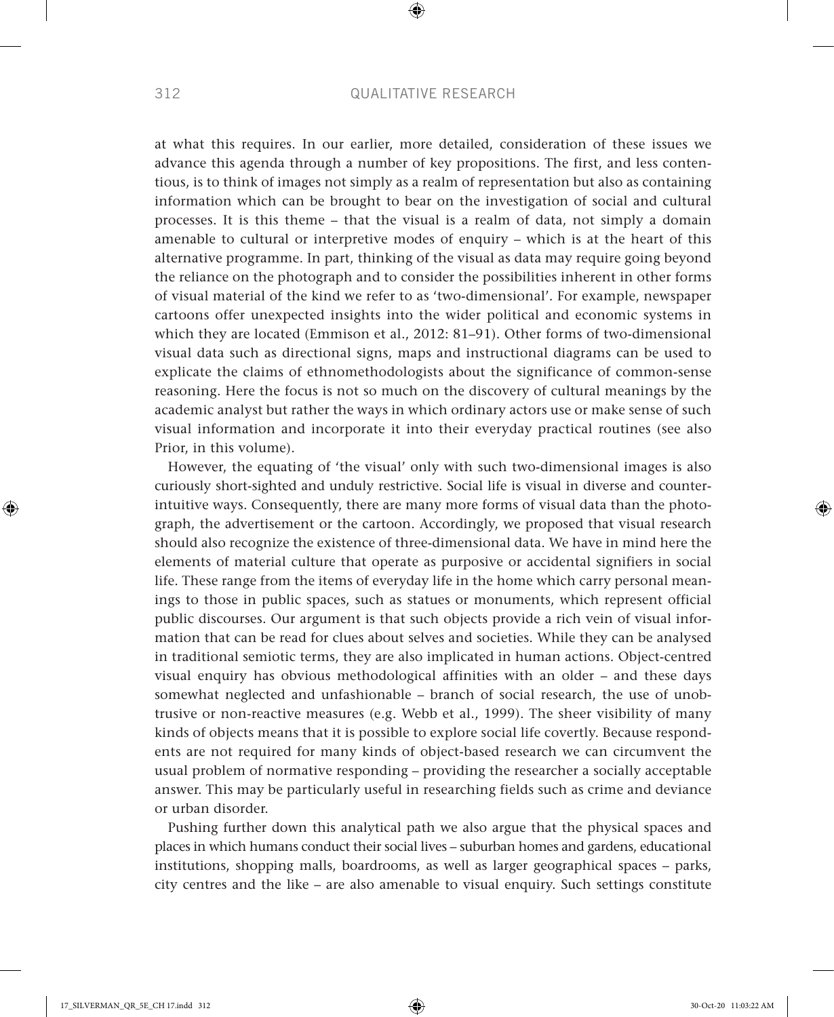at what this requires. In our earlier, more detailed, consideration of these issues we advance this agenda through a number of key propositions. The first, and less contentious, is to think of images not simply as a realm of representation but also as containing information which can be brought to bear on the investigation of social and cultural processes. It is this theme – that the visual is a realm of data, not simply a domain amenable to cultural or interpretive modes of enquiry – which is at the heart of this alternative programme. In part, thinking of the visual as data may require going beyond the reliance on the photograph and to consider the possibilities inherent in other forms of visual material of the kind we refer to as 'two-dimensional'. For example, newspaper cartoons offer unexpected insights into the wider political and economic systems in which they are located (Emmison et al., 2012: 81–91). Other forms of two-dimensional visual data such as directional signs, maps and instructional diagrams can be used to explicate the claims of ethnomethodologists about the significance of common-sense reasoning. Here the focus is not so much on the discovery of cultural meanings by the academic analyst but rather the ways in which ordinary actors use or make sense of such visual information and incorporate it into their everyday practical routines (see also Prior, in this volume).

However, the equating of 'the visual' only with such two-dimensional images is also curiously short-sighted and unduly restrictive. Social life is visual in diverse and counterintuitive ways. Consequently, there are many more forms of visual data than the photograph, the advertisement or the cartoon. Accordingly, we proposed that visual research should also recognize the existence of three-dimensional data. We have in mind here the elements of material culture that operate as purposive or accidental signifiers in social life. These range from the items of everyday life in the home which carry personal meanings to those in public spaces, such as statues or monuments, which represent official public discourses. Our argument is that such objects provide a rich vein of visual information that can be read for clues about selves and societies. While they can be analysed in traditional semiotic terms, they are also implicated in human actions. Object-centred visual enquiry has obvious methodological affinities with an older – and these days somewhat neglected and unfashionable – branch of social research, the use of unobtrusive or non-reactive measures (e.g. Webb et al., 1999). The sheer visibility of many kinds of objects means that it is possible to explore social life covertly. Because respondents are not required for many kinds of object-based research we can circumvent the usual problem of normative responding – providing the researcher a socially acceptable answer. This may be particularly useful in researching fields such as crime and deviance or urban disorder.

Pushing further down this analytical path we also argue that the physical spaces and places in which humans conduct their social lives – suburban homes and gardens, educational institutions, shopping malls, boardrooms, as well as larger geographical spaces – parks, city centres and the like – are also amenable to visual enquiry. Such settings constitute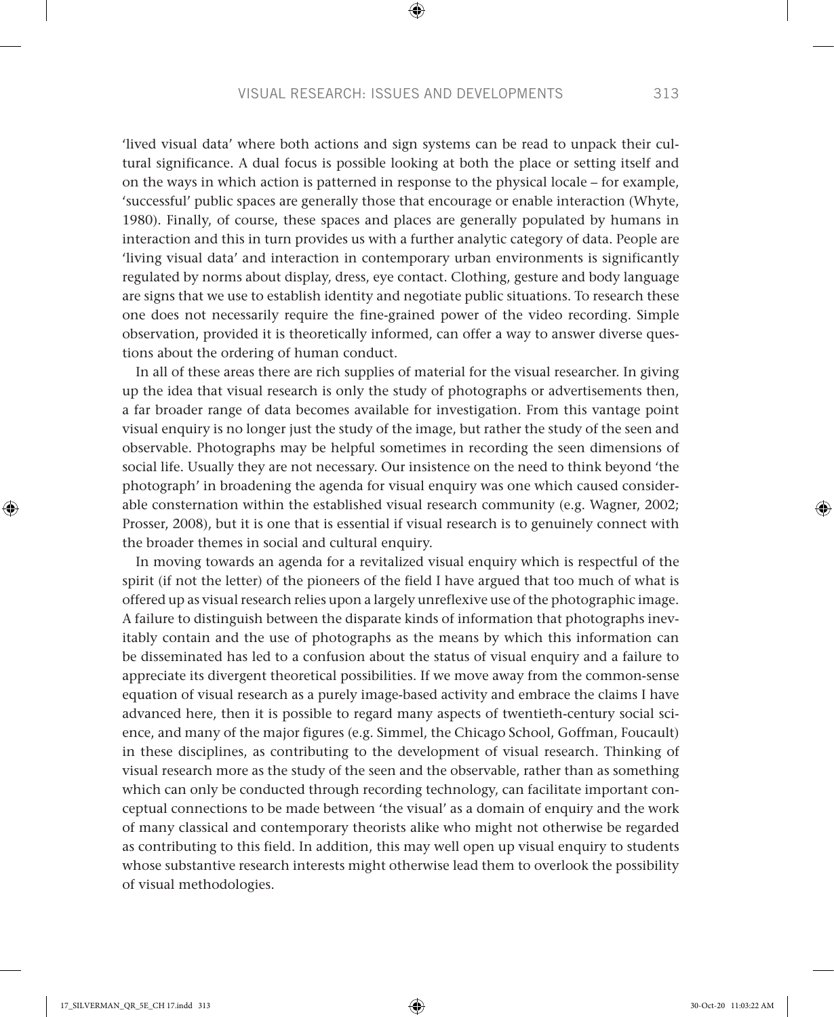'lived visual data' where both actions and sign systems can be read to unpack their cultural significance. A dual focus is possible looking at both the place or setting itself and on the ways in which action is patterned in response to the physical locale – for example, 'successful' public spaces are generally those that encourage or enable interaction (Whyte, 1980). Finally, of course, these spaces and places are generally populated by humans in interaction and this in turn provides us with a further analytic category of data. People are 'living visual data' and interaction in contemporary urban environments is significantly regulated by norms about display, dress, eye contact. Clothing, gesture and body language are signs that we use to establish identity and negotiate public situations. To research these one does not necessarily require the fine-grained power of the video recording. Simple observation, provided it is theoretically informed, can offer a way to answer diverse questions about the ordering of human conduct.

In all of these areas there are rich supplies of material for the visual researcher. In giving up the idea that visual research is only the study of photographs or advertisements then, a far broader range of data becomes available for investigation. From this vantage point visual enquiry is no longer just the study of the image, but rather the study of the seen and observable. Photographs may be helpful sometimes in recording the seen dimensions of social life. Usually they are not necessary. Our insistence on the need to think beyond 'the photograph' in broadening the agenda for visual enquiry was one which caused considerable consternation within the established visual research community (e.g. Wagner, 2002; Prosser, 2008), but it is one that is essential if visual research is to genuinely connect with the broader themes in social and cultural enquiry.

In moving towards an agenda for a revitalized visual enquiry which is respectful of the spirit (if not the letter) of the pioneers of the field I have argued that too much of what is offered up as visual research relies upon a largely unreflexive use of the photographic image. A failure to distinguish between the disparate kinds of information that photographs inevitably contain and the use of photographs as the means by which this information can be disseminated has led to a confusion about the status of visual enquiry and a failure to appreciate its divergent theoretical possibilities. If we move away from the common-sense equation of visual research as a purely image-based activity and embrace the claims I have advanced here, then it is possible to regard many aspects of twentieth-century social science, and many of the major figures (e.g. Simmel, the Chicago School, Goffman, Foucault) in these disciplines, as contributing to the development of visual research. Thinking of visual research more as the study of the seen and the observable, rather than as something which can only be conducted through recording technology, can facilitate important conceptual connections to be made between 'the visual' as a domain of enquiry and the work of many classical and contemporary theorists alike who might not otherwise be regarded as contributing to this field. In addition, this may well open up visual enquiry to students whose substantive research interests might otherwise lead them to overlook the possibility of visual methodologies.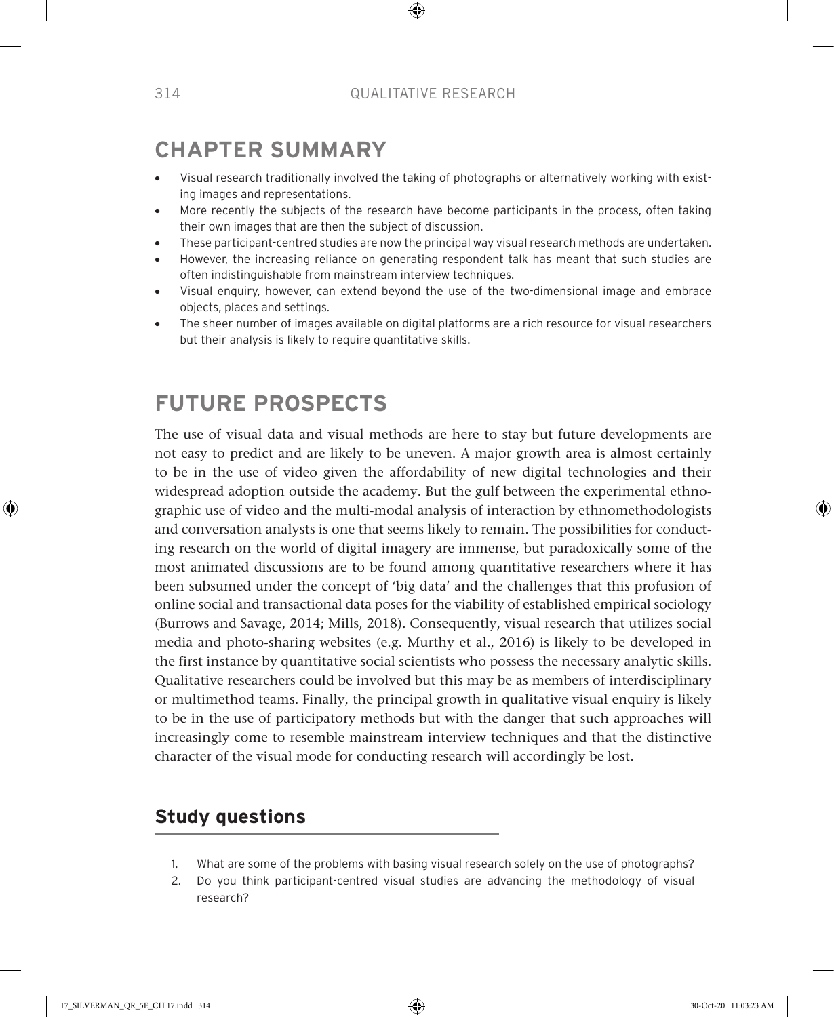## **CHAPTER SUMMARY**

- Visual research traditionally involved the taking of photographs or alternatively working with existing images and representations.
- More recently the subjects of the research have become participants in the process, often taking their own images that are then the subject of discussion.
- These participant-centred studies are now the principal way visual research methods are undertaken.
- However, the increasing reliance on generating respondent talk has meant that such studies are often indistinguishable from mainstream interview techniques.
- Visual enquiry, however, can extend beyond the use of the two-dimensional image and embrace objects, places and settings.
- The sheer number of images available on digital platforms are a rich resource for visual researchers but their analysis is likely to require quantitative skills.

## **FUTURE PROSPECTS**

The use of visual data and visual methods are here to stay but future developments are not easy to predict and are likely to be uneven. A major growth area is almost certainly to be in the use of video given the affordability of new digital technologies and their widespread adoption outside the academy. But the gulf between the experimental ethnographic use of video and the multi-modal analysis of interaction by ethnomethodologists and conversation analysts is one that seems likely to remain. The possibilities for conducting research on the world of digital imagery are immense, but paradoxically some of the most animated discussions are to be found among quantitative researchers where it has been subsumed under the concept of 'big data' and the challenges that this profusion of online social and transactional data poses for the viability of established empirical sociology (Burrows and Savage, 2014; Mills, 2018). Consequently, visual research that utilizes social media and photo-sharing websites (e.g. Murthy et al., 2016) is likely to be developed in the first instance by quantitative social scientists who possess the necessary analytic skills. Qualitative researchers could be involved but this may be as members of interdisciplinary or multimethod teams. Finally, the principal growth in qualitative visual enquiry is likely to be in the use of participatory methods but with the danger that such approaches will increasingly come to resemble mainstream interview techniques and that the distinctive character of the visual mode for conducting research will accordingly be lost.

#### **Study questions**

- 1. What are some of the problems with basing visual research solely on the use of photographs?
- 2. Do you think participant-centred visual studies are advancing the methodology of visual research?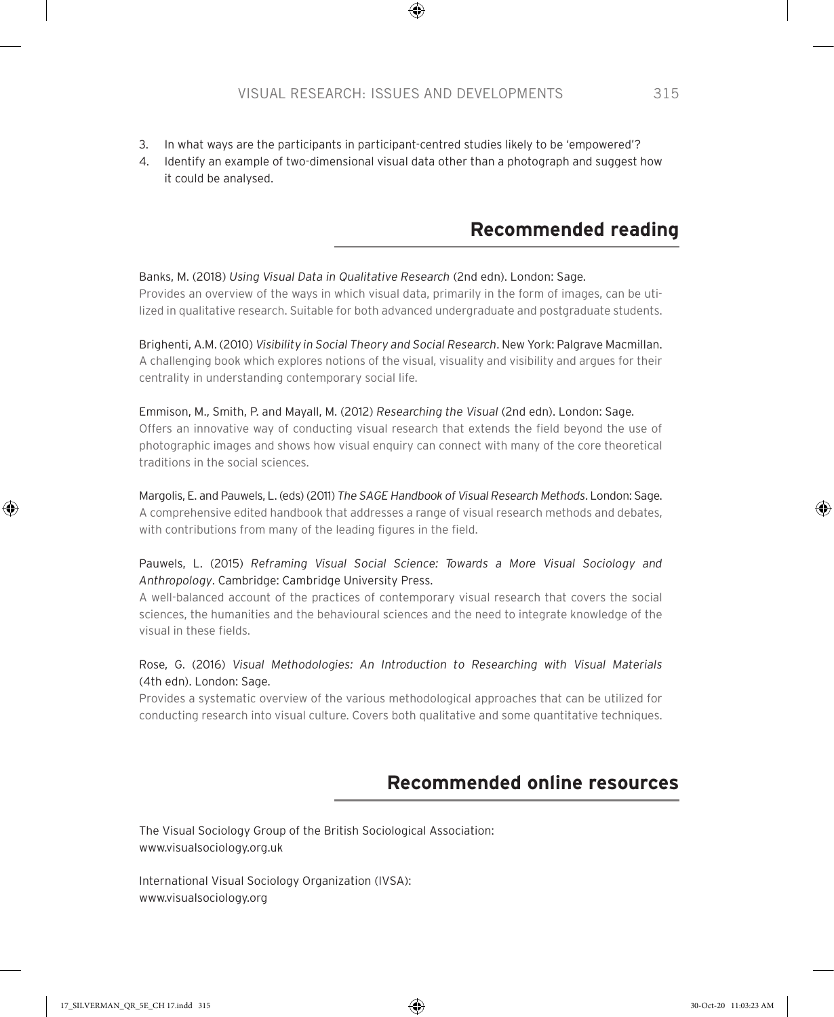- 3. In what ways are the participants in participant-centred studies likely to be 'empowered'?
- 4. Identify an example of two-dimensional visual data other than a photograph and suggest how it could be analysed.

#### **Recommended reading**

#### Banks, M. (2018) *Using Visual Data in Qualitative Research* (2nd edn). London: Sage.

Provides an overview of the ways in which visual data, primarily in the form of images, can be utilized in qualitative research. Suitable for both advanced undergraduate and postgraduate students.

Brighenti, A.M. (2010) *Visibility in Social Theory and Social Research*. New York: Palgrave Macmillan. A challenging book which explores notions of the visual, visuality and visibility and argues for their centrality in understanding contemporary social life.

#### Emmison, M., Smith, P. and Mayall, M. (2012) *Researching the Visual* (2nd edn). London: Sage.

Offers an innovative way of conducting visual research that extends the field beyond the use of photographic images and shows how visual enquiry can connect with many of the core theoretical traditions in the social sciences.

Margolis, E. and Pauwels, L. (eds) (2011) *The SAGE Handbook of Visual Research Methods.* London: Sage. A comprehensive edited handbook that addresses a range of visual research methods and debates, with contributions from many of the leading figures in the field.

#### Pauwels, L. (2015) *Reframing Visual Social Science: Towards a More Visual Sociology and Anthropology*. Cambridge: Cambridge University Press.

A well-balanced account of the practices of contemporary visual research that covers the social sciences, the humanities and the behavioural sciences and the need to integrate knowledge of the visual in these fields.

#### Rose, G. (2016) *Visual Methodologies: An Introduction to Researching with Visual Materials* (4th edn). London: Sage.

Provides a systematic overview of the various methodological approaches that can be utilized for conducting research into visual culture. Covers both qualitative and some quantitative techniques.

#### **Recommended online resources**

The Visual Sociology Group of the British Sociological Association: www.visualsociology.org.uk

International Visual Sociology Organization (IVSA): www.visualsociology.org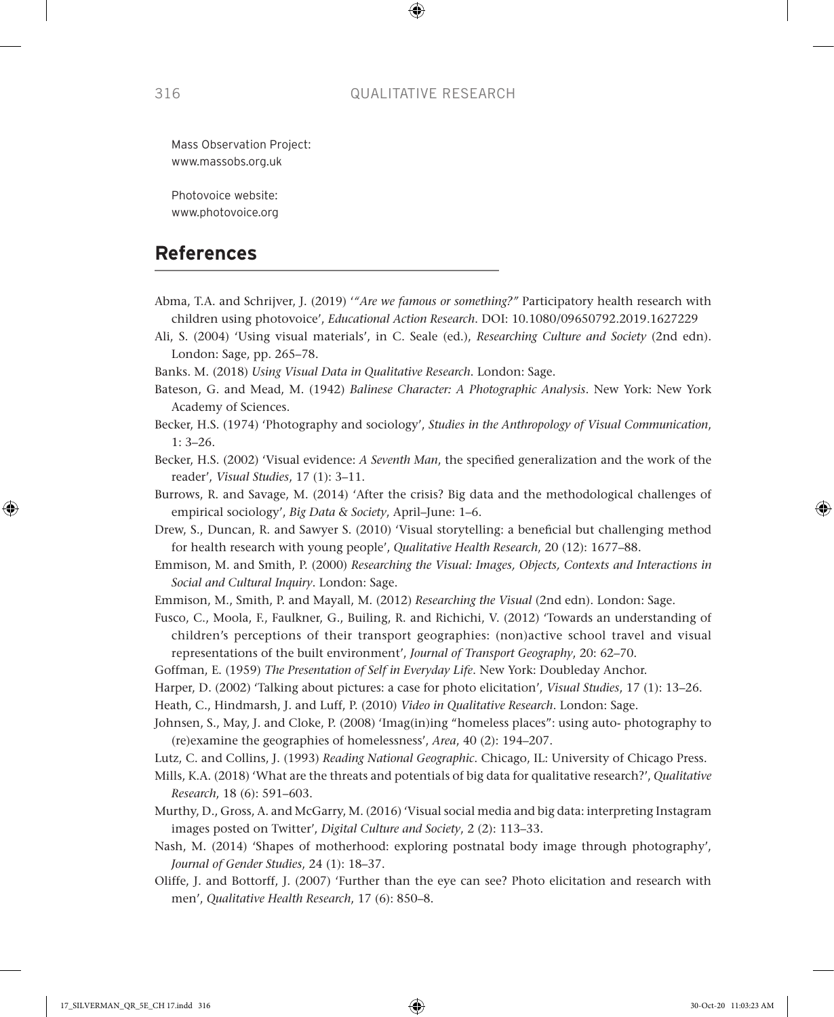Mass Observation Project: www.massobs.org.uk

Photovoice website: www.photovoice.org

#### **References**

- Abma, T.A. and Schrijver, J. (2019) '*"Are we famous or something?"* Participatory health research with children using photovoice', *Educational Action Research*. DOI: 10.1080/09650792.2019.1627229
- Ali, S. (2004) 'Using visual materials', in C. Seale (ed.), *Researching Culture and Society* (2nd edn). London: Sage, pp. 265–78.
- Banks. M. (2018) *Using Visual Data in Qualitative Research*. London: Sage.
- Bateson, G. and Mead, M. (1942) *Balinese Character: A Photographic Analysis*. New York: New York Academy of Sciences.
- Becker, H.S. (1974) 'Photography and sociology', *Studies in the Anthropology of Visual Communication*, 1: 3–26.
- Becker, H.S. (2002) 'Visual evidence: *A Seventh Man*, the specified generalization and the work of the reader', *Visual Studies*, 17 (1): 3–11.
- Burrows, R. and Savage, M. (2014) 'After the crisis? Big data and the methodological challenges of empirical sociology', *Big Data & Society*, April–June: 1–6.
- Drew, S., Duncan, R. and Sawyer S. (2010) 'Visual storytelling: a beneficial but challenging method for health research with young people', *Qualitative Health Research*, 20 (12): 1677–88.
- Emmison, M. and Smith, P. (2000) *Researching the Visual: Images, Objects, Contexts and Interactions in Social and Cultural Inquiry*. London: Sage.
- Emmison, M., Smith, P. and Mayall, M. (2012) *Researching the Visual* (2nd edn). London: Sage.
- Fusco, C., Moola, F., Faulkner, G., Builing, R. and Richichi, V. (2012) 'Towards an understanding of children's perceptions of their transport geographies: (non)active school travel and visual representations of the built environment', *Journal of Transport Geography*, 20: 62–70.
- Goffman, E. (1959) *The Presentation of Self in Everyday Life*. New York: Doubleday Anchor.
- Harper, D. (2002) 'Talking about pictures: a case for photo elicitation', *Visual Studies*, 17 (1): 13–26.
- Heath, C., Hindmarsh, J. and Luff, P. (2010) *Video in Qualitative Research*. London: Sage.
- Johnsen, S., May, J. and Cloke, P. (2008) 'Imag(in)ing "homeless places": using auto- photography to (re)examine the geographies of homelessness', *Area*, 40 (2): 194–207.
- Lutz, C. and Collins, J. (1993) *Reading National Geographic*. Chicago, IL: University of Chicago Press.
- Mills, K.A. (2018) 'What are the threats and potentials of big data for qualitative research?', *Qualitative Research*, 18 (6): 591–603.
- Murthy, D., Gross, A. and McGarry, M. (2016) 'Visual social media and big data: interpreting Instagram images posted on Twitter', *Digital Culture and Society*, 2 (2): 113–33.
- Nash, M. (2014) 'Shapes of motherhood: exploring postnatal body image through photography', *Journal of Gender Studies*, 24 (1): 18–37.
- Oliffe, J. and Bottorff, J. (2007) 'Further than the eye can see? Photo elicitation and research with men', *Qualitative Health Research*, 17 (6): 850–8.